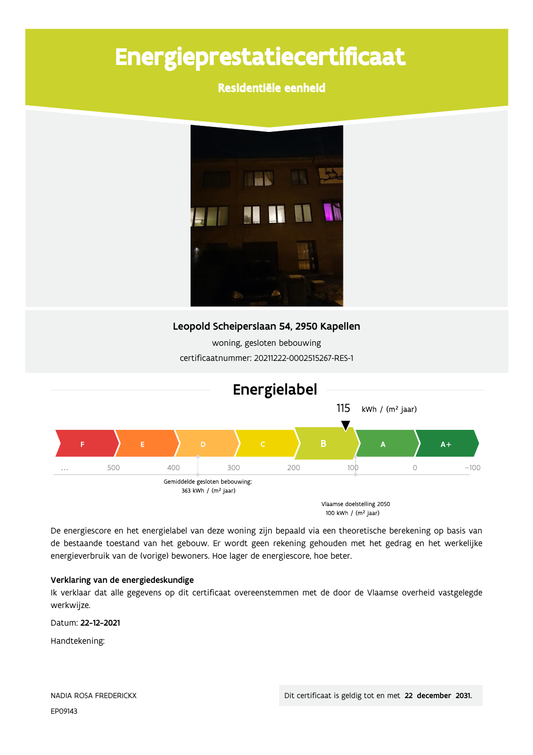# Energieprestatiecertificaat

# Residentiële eenheid



### Leopold Scheiperslaan 54, 2950 Kapellen

woning, gesloten bebouwing certificaatnummer: 20211222-0002515267-RES-1



De energiescore en het energielabel van deze woning zijn bepaald via een theoretische berekening op basis van de bestaande toestand van het gebouw. Er wordt geen rekening gehouden met het gedrag en het werkelijke energieverbruik van de (vorige) bewoners. Hoe lager de energiescore, hoe beter.

#### Verklaring van de energiedeskundige

Ik verklaar dat alle gegevens op dit certificaat overeenstemmen met de door de Vlaamse overheid vastgelegde werkwijze.

Datum: 22-12-2021

Handtekening: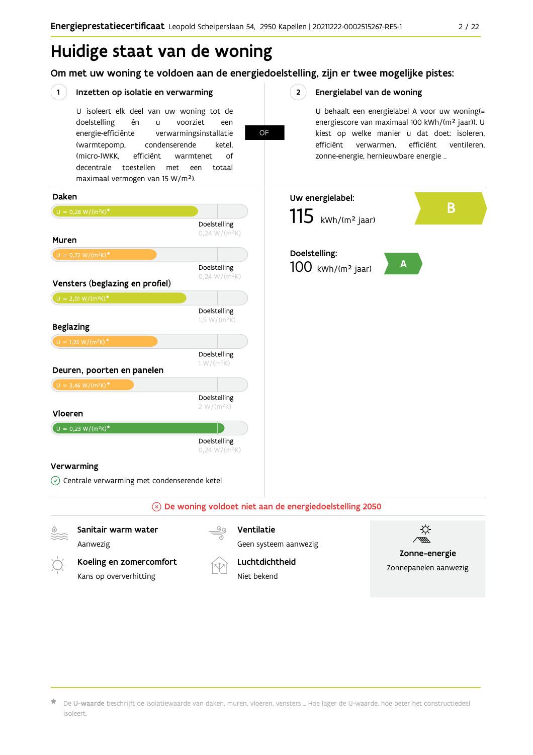# Huidige staat van de woning

Om met uw woning te voldoen aan de energiedoelstelling, zijn er twee mogelijke pistes:

OF

#### $(1)$ Inzetten op isolatie en verwarming

Kans op oververhitting

U isoleert elk deel van uw woning tot de doelstelling én voorziet  $\overline{11}$ een energie-efficiënte verwarmingsinstallatie (warmtepomp, condenserende ketel. (micro-)WKK. efficiënt warmtenet  $\bigcap_{ }$ decentrale toestellen met een totaal maximaal vermogen van 15 W/m<sup>2</sup>).

#### $2^{\circ}$ Energielabel van de woning

U behaalt een energielabel A voor uw woning(= energiescore van maximaal 100 kWh/(m<sup>2</sup> jaar)). U kiest op welke manier u dat doet: isoleren, efficiënt efficiënt ventileren, verwarmen, zonne-energie, hernieuwbare energie ...



Niet bekend

Zonnepanelen aanwezig

De U-waarde beschrijft de isolatiewaarde van daken, muren, vloeren, vensters ... Hoe lager de U-waarde, hoe beter het constructiedeel isoleert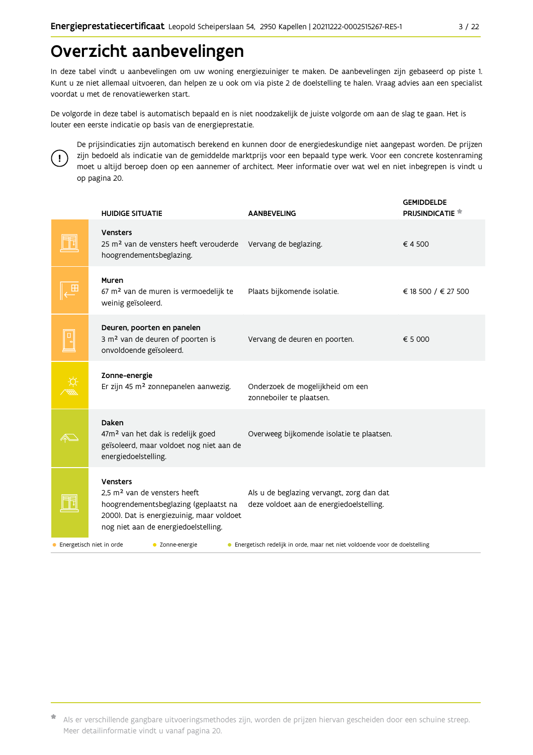# Overzicht aanbevelingen

In deze tabel vindt u aanbevelingen om uw woning energiezuiniger te maken. De aanbevelingen zijn gebaseerd op piste 1. Kunt u ze niet allemaal uitvoeren, dan helpen ze u ook om via piste 2 de doelstelling te halen. Vraag advies aan een specialist voordat u met de renovatiewerken start.

De volgorde in deze tabel is automatisch bepaald en is niet noodzakelijk de juiste volgorde om aan de slag te gaan. Het is louter een eerste indicatie op basis van de energieprestatie.



De prijsindicaties zijn automatisch berekend en kunnen door de energiedeskundige niet aangepast worden. De prijzen zijn bedoeld als indicatie van de gemiddelde marktprijs voor een bepaald type werk. Voor een concrete kostenraming moet u altijd beroep doen op een aannemer of architect. Meer informatie over wat wel en niet inbegrepen is vindt u op pagina 20.

|                                       | <b>HUIDIGE SITUATIE</b>                                                                                                                                                            | <b>AANBEVELING</b>                                                                    | <b>GEMIDDELDE</b><br><b>PRIJSINDICATIE</b> |
|---------------------------------------|------------------------------------------------------------------------------------------------------------------------------------------------------------------------------------|---------------------------------------------------------------------------------------|--------------------------------------------|
|                                       | Vensters<br>25 m <sup>2</sup> van de vensters heeft verouderde<br>hoogrendementsbeglazing.                                                                                         | Vervang de beglazing.                                                                 | €4500                                      |
|                                       | Muren<br>67 m <sup>2</sup> van de muren is vermoedelijk te<br>weinig geïsoleerd.                                                                                                   | Plaats bijkomende isolatie.                                                           | € 18 500 / € 27 500                        |
|                                       | Deuren, poorten en panelen<br>3 m <sup>2</sup> van de deuren of poorten is<br>onvoldoende geïsoleerd.                                                                              | Vervang de deuren en poorten.                                                         | € 5 000                                    |
|                                       | Zonne-energie<br>Er zijn 45 m <sup>2</sup> zonnepanelen aanwezig.                                                                                                                  | Onderzoek de mogelijkheid om een<br>zonneboiler te plaatsen.                          |                                            |
|                                       | Daken<br>47m <sup>2</sup> van het dak is redelijk goed<br>geïsoleerd, maar voldoet nog niet aan de<br>energiedoelstelling.                                                         | Overweeg bijkomende isolatie te plaatsen.                                             |                                            |
|                                       | Vensters<br>2.5 m <sup>2</sup> van de vensters heeft<br>hoogrendementsbeglazing (geplaatst na<br>2000). Dat is energiezuinig, maar voldoet<br>nog niet aan de energiedoelstelling. | Als u de beglazing vervangt, zorg dan dat<br>deze voldoet aan de energiedoelstelling. |                                            |
| Energetisch niet in orde<br>$\bullet$ | • Zonne-energie                                                                                                                                                                    | • Energetisch redelijk in orde, maar net niet voldoende voor de doelstelling          |                                            |

Als er verschillende gangbare uitvoeringsmethodes zijn, worden de prijzen hiervan gescheiden door een schuine streep. Meer detailinformatie vindt u vanaf pagina 20.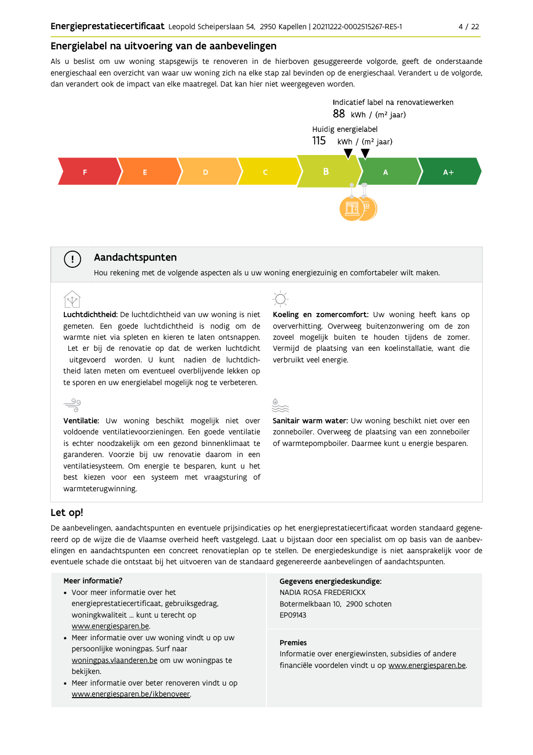#### Energielabel na uitvoering van de aanbevelingen

Als u beslist om uw woning stapsgewijs te renoveren in de hierboven gesuggereerde volgorde, geeft de onderstaande energieschaal een overzicht van waar uw woning zich na elke stap zal bevinden op de energieschaal. Verandert u de volgorde, dan verandert ook de impact van elke maatregel. Dat kan hier niet weergegeven worden.



#### Aandachtspunten

Hou rekening met de volgende aspecten als u uw woning energiezuinig en comfortabeler wilt maken.

Luchtdichtheid: De luchtdichtheid van uw woning is niet gemeten. Een goede luchtdichtheid is nodig om de warmte niet via spleten en kieren te laten ontsnappen. Let er bij de renovatie op dat de werken luchtdicht uitgevoerd worden. U kunt nadien de luchtdichtheid laten meten om eventueel overblijvende lekken op te sporen en uw energielabel mogelijk nog te verbeteren.



Koeling en zomercomfort: Uw woning heeft kans op oververhitting. Overweeg buitenzonwering om de zon zoveel mogelijk buiten te houden tijdens de zomer. Vermijd de plaatsing van een koelinstallatie, want die verbruikt veel energie.

Sanitair warm water: Uw woning beschikt niet over een zonneboiler. Overweeg de plaatsing van een zonneboiler of warmtepompboiler. Daarmee kunt u energie besparen.

#### Let op!

 $(\bot)$ 

 $\hat{N}$ 

De aanbevelingen, aandachtspunten en eventuele prijsindicaties op het energieprestatiecertificaat worden standaard gegenereerd op de wijze die de Vlaamse overheid heeft vastgelegd. Laat u bijstaan door een specialist om op basis van de aanbevelingen en aandachtspunten een concreet renovatieplan op te stellen. De energiedeskundige is niet aansprakelijk voor de eventuele schade die ontstaat bij het uitvoeren van de standaard gegenereerde aanbevelingen of aandachtspunten.

#### Meer informatie?

- Voor meer informatie over het energieprestatiecertificaat, gebruiksgedrag, woningkwaliteit ... kunt u terecht op www.energiesparen.be.
- Meer informatie over uw woning vindt u op uw persoonlijke woningpas. Surf naar woningpas.vlaanderen.be om uw woningpas te bekijken.
- Meer informatie over beter renoveren vindt u op www.energiesparen.be/ikbenoveer.

Gegevens energiedeskundige: NADIA ROSA FREDERICKX Botermelkbaan 10. 2900 schoten FP09143

#### **Premies**

Informatie over energiewinsten, subsidies of andere financiële voordelen vindt u op www.energiesparen.be.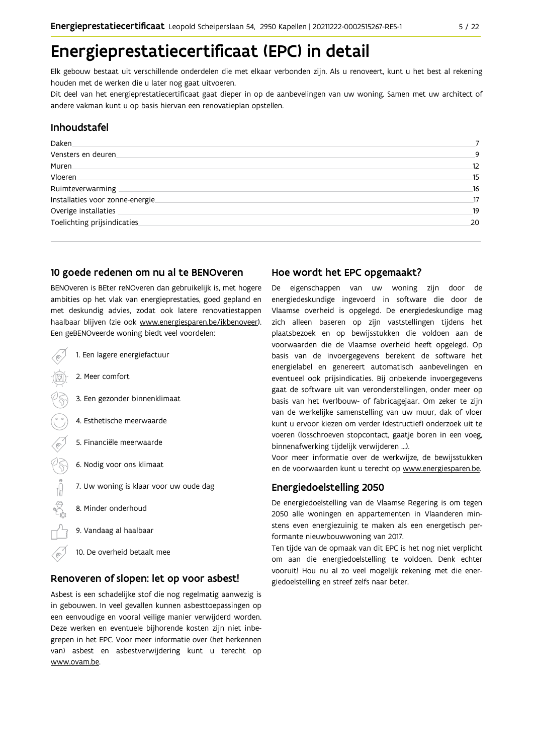# Energieprestatiecertificaat (EPC) in detail

Elk gebouw bestaat uit verschillende onderdelen die met elkaar verbonden zijn. Als u renoveert, kunt u het best al rekening houden met de werken die u later nog gaat uitvoeren.

Dit deel van het energieprestatiecertificaat gaat dieper in op de aanbevelingen van uw woning. Samen met uw architect of andere vakman kunt u op basis hiervan een renovatieplan opstellen.

#### Inhoudstafel

| Daken.                           |    |
|----------------------------------|----|
| Vensters en deuren.              | 9  |
| Muren.                           | 12 |
| Vloeren                          | 15 |
| Ruimteverwarming                 | 16 |
| Installaties voor zonne-energie. | 17 |
| Overige installaties             | 19 |
| Toelichting prijsindicaties      | 20 |
|                                  |    |

### 10 goede redenen om nu al te BENOveren

BENOveren is BEter reNOveren dan gebruikelijk is, met hogere ambities op het vlak van energieprestaties, goed gepland en met deskundig advies, zodat ook latere renovatiestappen haalbaar blijven (zie ook www.energiesparen.be/ikbenoveer). Een geBENOveerde woning biedt veel voordelen:

- 1. Een lagere energiefactuur 2. Meer comfort 3. Een gezonder binnenklimaat 4. Esthetische meerwaarde 5. Financiële meerwaarde  $\frac{1}{2}$ 6. Nodig voor ons klimaat 7. Uw woning is klaar voor uw oude dag 8. Minder onderhoud 9. Vandaag al haalbaar
	- 10. De overheid betaalt mee

#### Renoveren of slopen: let op voor asbest!

Asbest is een schadelijke stof die nog regelmatig aanwezig is in gebouwen. In veel gevallen kunnen asbesttoepassingen op een eenvoudige en vooral veilige manier verwijderd worden. Deze werken en eventuele bijhorende kosten zijn niet inbegrepen in het EPC. Voor meer informatie over (het herkennen van) asbest en asbestverwijdering kunt u terecht op www.ovam.be.

### Hoe wordt het EPC opgemaakt?

De eigenschappen van uw woning zijn door de energiedeskundige ingevoerd in software die door de Vlaamse overheid is opgelegd. De energiedeskundige mag zich alleen baseren op zijn vaststellingen tijdens het plaatsbezoek en op bewijsstukken die voldoen aan de voorwaarden die de Vlaamse overheid heeft opgelegd. Op basis van de invoergegevens berekent de software het energielabel en genereert automatisch aanbevelingen en eventueel ook prijsindicaties. Bij onbekende invoergegevens gaat de software uit van veronderstellingen, onder meer op basis van het (ver)bouw- of fabricagejaar. Om zeker te zijn van de werkelijke samenstelling van uw muur, dak of vloer kunt u ervoor kiezen om verder (destructief) onderzoek uit te voeren (losschroeven stopcontact, gaatje boren in een voeg, binnenafwerking tijdelijk verwijderen ...).

Voor meer informatie over de werkwijze, de bewijsstukken en de voorwaarden kunt u terecht op www.energiesparen.be.

### **Energiedoelstelling 2050**

De energiedoelstelling van de Vlaamse Regering is om tegen 2050 alle woningen en appartementen in Vlaanderen minstens even energiezuinig te maken als een energetisch performante nieuwbouwwoning van 2017.

Ten tijde van de opmaak van dit EPC is het nog niet verplicht om aan die energiedoelstelling te voldoen. Denk echter vooruit! Hou nu al zo veel mogelijk rekening met die energiedoelstelling en streef zelfs naar beter.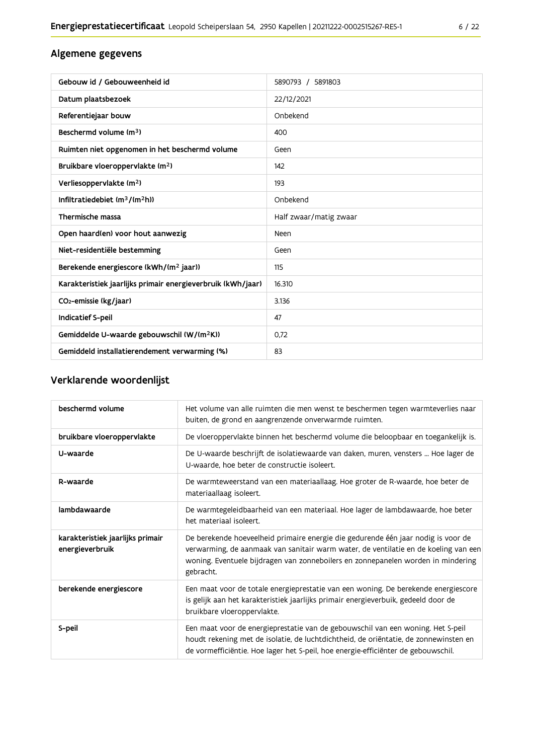# Algemene gegevens

| Gebouw id / Gebouweenheid id                                | 5890793 / 5891803      |
|-------------------------------------------------------------|------------------------|
| Datum plaatsbezoek                                          | 22/12/2021             |
| Referentiejaar bouw                                         | Onbekend               |
| Beschermd volume (m <sup>3</sup> )                          | 400                    |
| Ruimten niet opgenomen in het beschermd volume              | Geen                   |
| Bruikbare vloeroppervlakte (m <sup>2</sup> )                | 142                    |
| Verliesoppervlakte (m <sup>2</sup> )                        | 193                    |
| Infiltratiedebiet $(m^3/(m^2h))$                            | Onbekend               |
| Thermische massa                                            | Half zwaar/matig zwaar |
| Open haard(en) voor hout aanwezig                           | Neen                   |
| Niet-residentiële bestemming                                | Geen                   |
| Berekende energiescore (kWh/(m <sup>2</sup> jaar))          | 115                    |
| Karakteristiek jaarlijks primair energieverbruik (kWh/jaar) | 16.310                 |
| CO <sub>2</sub> -emissie (kg/jaar)                          | 3.136                  |
| Indicatief S-peil                                           | 47                     |
| Gemiddelde U-waarde gebouwschil (W/(m <sup>2</sup> K))      | 0.72                   |
| Gemiddeld installatierendement verwarming (%)               | 83                     |

# Verklarende woordenlijst

| beschermd volume                                    | Het volume van alle ruimten die men wenst te beschermen tegen warmteverlies naar<br>buiten, de grond en aangrenzende onverwarmde ruimten.                                                                                                                                 |
|-----------------------------------------------------|---------------------------------------------------------------------------------------------------------------------------------------------------------------------------------------------------------------------------------------------------------------------------|
| bruikbare vloeroppervlakte                          | De vloeroppervlakte binnen het beschermd volume die beloopbaar en toegankelijk is.                                                                                                                                                                                        |
| U-waarde                                            | De U-waarde beschrijft de isolatiewaarde van daken, muren, vensters  Hoe lager de<br>U-waarde, hoe beter de constructie isoleert.                                                                                                                                         |
| R-waarde                                            | De warmteweerstand van een materiaallaag. Hoe groter de R-waarde, hoe beter de<br>materiaallaag isoleert.                                                                                                                                                                 |
| lambdawaarde                                        | De warmtegeleidbaarheid van een materiaal. Hoe lager de lambdawaarde, hoe beter<br>het materiaal isoleert.                                                                                                                                                                |
| karakteristiek jaarlijks primair<br>energieverbruik | De berekende hoeveelheid primaire energie die gedurende één jaar nodig is voor de<br>verwarming, de aanmaak van sanitair warm water, de ventilatie en de koeling van een<br>woning. Eventuele bijdragen van zonneboilers en zonnepanelen worden in mindering<br>gebracht. |
| berekende energiescore                              | Een maat voor de totale energieprestatie van een woning. De berekende energiescore<br>is gelijk aan het karakteristiek jaarlijks primair energieverbuik, gedeeld door de<br>bruikbare vloeroppervlakte.                                                                   |
| S-peil                                              | Een maat voor de energieprestatie van de gebouwschil van een woning. Het S-peil<br>houdt rekening met de isolatie, de luchtdichtheid, de oriëntatie, de zonnewinsten en<br>de vormefficiëntie. Hoe lager het S-peil, hoe energie-efficiënter de gebouwschil.              |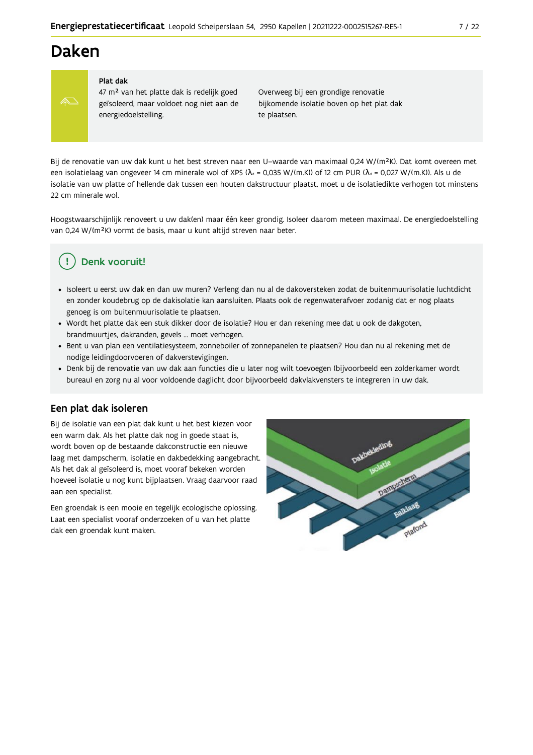# **Daken**



#### Plat dak

47 m<sup>2</sup> van het platte dak is redelijk goed geïsoleerd, maar voldoet nog niet aan de energiedoelstelling.

Overweeg bij een grondige renovatie bijkomende isolatie boven op het plat dak te plaatsen.

Bij de renovatie van uw dak kunt u het best streven naar een U-waarde van maximaal 0,24 W/(m<sup>2</sup>K). Dat komt overeen met een isolatielaag van ongeveer 14 cm minerale wol of XPS ( $\lambda_a$  = 0,035 W/(m.K)) of 12 cm PUR ( $\lambda_a$  = 0,027 W/(m.K)). Als u de isolatie van uw platte of hellende dak tussen een houten dakstructuur plaatst, moet u de isolatiedikte verhogen tot minstens 22 cm minerale wol

Hoogstwaarschijnlijk renoveert u uw dak(en) maar één keer grondig. Isoleer daarom meteen maximaal. De energiedoelstelling van 0,24 W/(m<sup>2</sup>K) vormt de basis, maar u kunt altijd streven naar beter.

# Denk vooruit!

- · Isoleert u eerst uw dak en dan uw muren? Verleng dan nu al de dakoversteken zodat de buitenmuurisolatie luchtdicht en zonder koudebrug op de dakisolatie kan aansluiten. Plaats ook de regenwaterafvoer zodanig dat er nog plaats genoeg is om buitenmuurisolatie te plaatsen.
- · Wordt het platte dak een stuk dikker door de isolatie? Hou er dan rekening mee dat u ook de dakgoten, brandmuurtjes, dakranden, gevels ... moet verhogen.
- · Bent u van plan een ventilatiesysteem, zonneboiler of zonnepanelen te plaatsen? Hou dan nu al rekening met de nodige leidingdoorvoeren of dakverstevigingen.
- · Denk bij de renovatie van uw dak aan functies die u later nog wilt toevoegen (bijvoorbeeld een zolderkamer wordt bureau) en zorg nu al voor voldoende daglicht door bijvoorbeeld dakvlakvensters te integreren in uw dak.

#### Een plat dak isoleren

Bij de isolatie van een plat dak kunt u het best kiezen voor een warm dak. Als het platte dak nog in goede staat is, wordt boven op de bestaande dakconstructie een nieuwe laag met dampscherm, isolatie en dakbedekking aangebracht. Als het dak al geïsoleerd is, moet vooraf bekeken worden hoeveel isolatie u nog kunt bijplaatsen. Vraag daarvoor raad aan een specialist.

Een groendak is een mooie en tegelijk ecologische oplossing. Laat een specialist vooraf onderzoeken of u van het platte dak een groendak kunt maken.

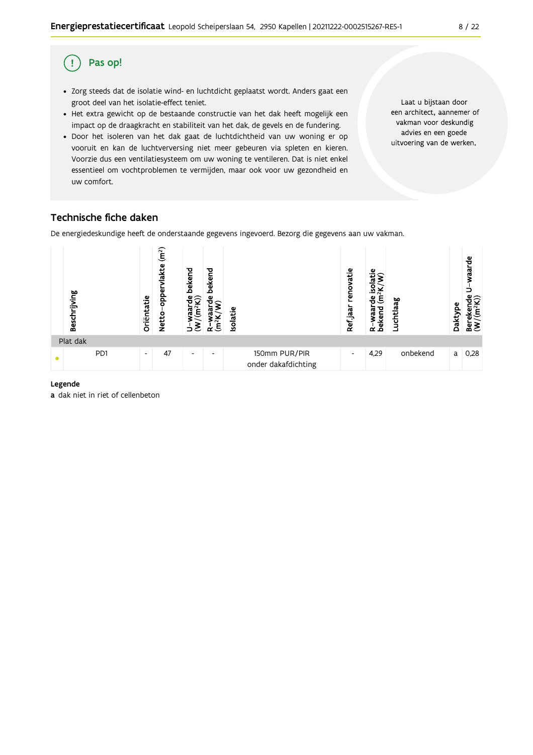#### Pas op! (!

- · Zorg steeds dat de isolatie wind- en luchtdicht geplaatst wordt. Anders gaat een groot deel van het isolatie-effect teniet.
- Het extra gewicht op de bestaande constructie van het dak heeft mogelijk een impact op de draagkracht en stabiliteit van het dak, de gevels en de fundering.
- · Door het isoleren van het dak gaat de luchtdichtheid van uw woning er op vooruit en kan de luchtverversing niet meer gebeuren via spleten en kieren. Voorzie dus een ventilatiesysteem om uw woning te ventileren. Dat is niet enkel essentieel om vochtproblemen te vermijden, maar ook voor uw gezondheid en uw comfort.

Laat u bijstaan door een architect, aannemer of vakman voor deskundig advies en een goede uitvoering van de werken.

# Technische fiche daken

De energiedeskundige heeft de onderstaande gegevens ingevoerd. Bezorg die gegevens aan uw vakman.



#### Legende

a dak niet in riet of cellenbeton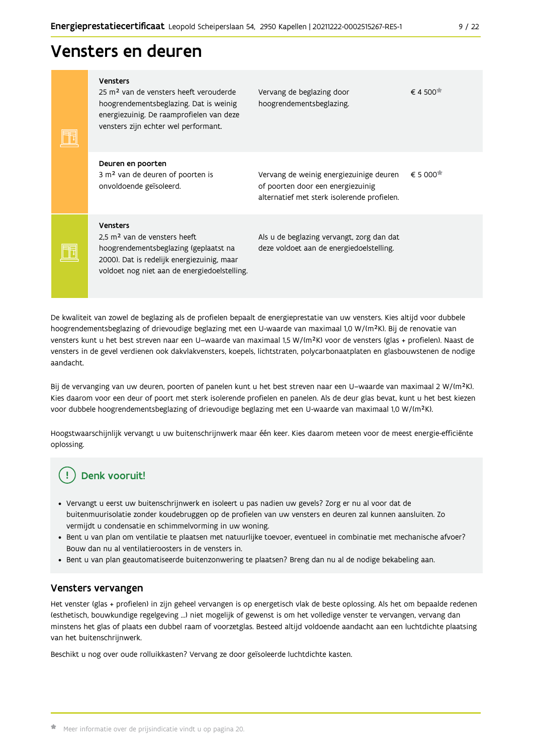# Vensters en deuren

| <b>Vensters</b><br>25 m <sup>2</sup> van de vensters heeft verouderde<br>hoogrendementsbeglazing. Dat is weinig<br>energiezuinig. De raamprofielen van deze<br>vensters zijn echter wel performant. | Vervang de beglazing door<br>hoogrendementsbeglazing.                                                                       | $\epsilon$ 4 500 <sup><math>\pi</math></sup>   |
|-----------------------------------------------------------------------------------------------------------------------------------------------------------------------------------------------------|-----------------------------------------------------------------------------------------------------------------------------|------------------------------------------------|
| Deuren en poorten<br>3 m <sup>2</sup> van de deuren of poorten is<br>onvoldoende geïsoleerd.                                                                                                        | Vervang de weinig energiezuinige deuren<br>of poorten door een energiezuinig<br>alternatief met sterk isolerende profielen. | $\epsilon$ 5 000 <sup><math>\star</math></sup> |
| <b>Vensters</b><br>2.5 m <sup>2</sup> van de vensters heeft<br>hoogrendementsbeglazing (geplaatst na<br>2000). Dat is redelijk energiezuinig, maar<br>voldoet nog niet aan de energiedoelstelling.  | Als u de beglazing vervangt, zorg dan dat<br>deze voldoet aan de energiedoelstelling.                                       |                                                |

De kwaliteit van zowel de beglazing als de profielen bepaalt de energieprestatie van uw vensters. Kies altijd voor dubbele hoogrendementsbeglazing of drievoudige beglazing met een U-waarde van maximaal 1,0 W/(m<sup>2</sup>K). Bij de renovatie van vensters kunt u het best streven naar een U-waarde van maximaal 1,5 W/(m<sup>2</sup>K) voor de vensters (glas + profielen). Naast de vensters in de gevel verdienen ook dakvlakvensters, koepels, lichtstraten, polycarbonaatplaten en glasbouwstenen de nodige aandacht.

Bij de vervanging van uw deuren, poorten of panelen kunt u het best streven naar een U-waarde van maximaal 2 W/(m<sup>2</sup>K). Kies daarom voor een deur of poort met sterk isolerende profielen en panelen. Als de deur glas bevat, kunt u het best kiezen voor dubbele hoogrendementsbeglazing of drievoudige beglazing met een U-waarde van maximaal 1,0 W/(m<sup>2</sup>K).

Hoogstwaarschijnlijk vervangt u uw buitenschrijnwerk maar één keer. Kies daarom meteen voor de meest energie-efficiënte oplossing.

# Denk vooruit!

- · Vervangt u eerst uw buitenschrijnwerk en isoleert u pas nadien uw gevels? Zorg er nu al voor dat de buitenmuurisolatie zonder koudebruggen op de profielen van uw vensters en deuren zal kunnen aansluiten. Zo vermijdt u condensatie en schimmelvorming in uw woning.
- Bent u van plan om ventilatie te plaatsen met natuurlijke toevoer, eventueel in combinatie met mechanische afvoer? Bouw dan nu al ventilatieroosters in de vensters in.
- · Bent u van plan geautomatiseerde buitenzonwering te plaatsen? Breng dan nu al de nodige bekabeling aan.

### Vensters vervangen

Het venster (glas + profielen) in zijn geheel vervangen is op energetisch vlak de beste oplossing. Als het om bepaalde redenen (esthetisch, bouwkundige regelgeving ...) niet mogelijk of gewenst is om het volledige venster te vervangen, vervang dan minstens het glas of plaats een dubbel raam of voorzetglas. Besteed altijd voldoende aandacht aan een luchtdichte plaatsing van het buitenschrijnwerk.

Beschikt u nog over oude rolluikkasten? Vervang ze door geïsoleerde luchtdichte kasten.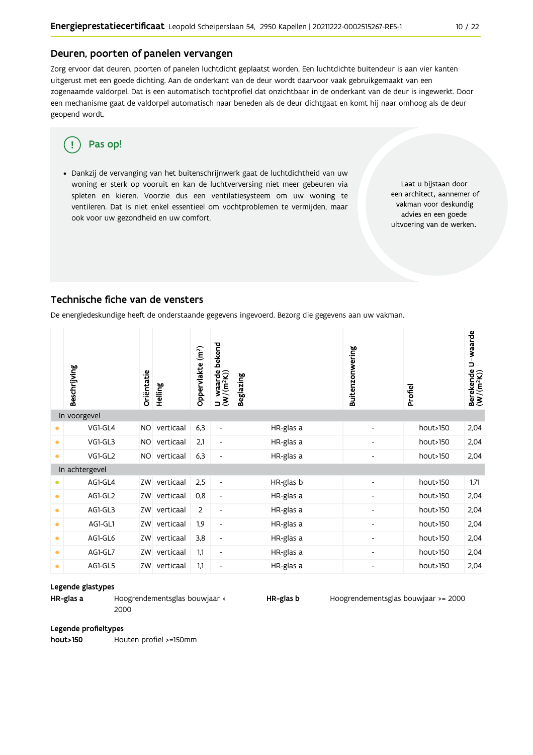#### Deuren, poorten of panelen vervangen

Zorg ervoor dat deuren, poorten of panelen luchtdicht geplaatst worden. Een luchtdichte buitendeur is aan vier kanten uitgerust met een goede dichting. Aan de onderkant van de deur wordt daarvoor vaak gebruikgemaakt van een zogenaamde valdorpel. Dat is een automatisch tochtprofiel dat onzichtbaar in de onderkant van de deur is ingewerkt. Door een mechanisme gaat de valdorpel automatisch naar beneden als de deur dichtgaat en komt hij naar omhoog als de deur geopend wordt.

#### Pas op! q

· Dankzij de vervanging van het buitenschrijnwerk gaat de luchtdichtheid van uw woning er sterk op vooruit en kan de luchtverversing niet meer gebeuren via spleten en kieren. Voorzie dus een ventilatiesysteem om uw woning te ventileren. Dat is niet enkel essentieel om vochtproblemen te vermijden, maar ook voor uw gezondheid en uw comfort.

Laat u bijstaan door een architect, aannemer of vakman voor deskundig advies en een goede uitvoering van de werken.

### Technische fiche van de vensters

De energiedeskundige heeft de onderstaande gegevens ingevoerd. Bezorg die gegevens aan uw vakman.

|           | Beschrijving   | Oriëntatie | Helling   | Oppervlakte (m <sup>2</sup> ) | bekend<br>$U$ – waarde<br>(W/(m <sup>2</sup> K)) | <b>Beglazing</b> | Buitenzonwering          | Profiel  | Berekende U-waarde<br>(W/(m <sup>2</sup> K)) |
|-----------|----------------|------------|-----------|-------------------------------|--------------------------------------------------|------------------|--------------------------|----------|----------------------------------------------|
|           | In voorgevel   |            |           |                               |                                                  |                  |                          |          |                                              |
| ۰         | VG1-GL4        | <b>NO</b>  | verticaal | 6,3                           | $\overline{\phantom{0}}$                         | HR-glas a        | $\overline{\phantom{a}}$ | hout>150 | 2,04                                         |
| ۰         | VG1-GL3        | <b>NO</b>  | verticaal | 2,1                           | $\overline{\phantom{a}}$                         | HR-glas a        | $\overline{\phantom{a}}$ | hout>150 | 2,04                                         |
| $\bullet$ | VG1-GL2        | <b>NO</b>  | verticaal | 6,3                           | $\qquad \qquad \blacksquare$                     | HR-glas a        |                          | hout>150 | 2,04                                         |
|           | In achtergevel |            |           |                               |                                                  |                  |                          |          |                                              |
| $\bullet$ | AG1-GL4        | ZW         | verticaal | 2,5                           | $\overline{\phantom{a}}$                         | HR-glas b        |                          | hout>150 | 1,71                                         |
| ۰         | AG1-GL2        | ZW         | verticaal | 0,8                           | $\overline{\phantom{a}}$                         | HR-glas a        |                          | hout>150 | 2,04                                         |
| ۰         | AG1-GL3        | ZW         | verticaal | 2                             | $\overline{\phantom{a}}$                         | HR-glas a        | $\overline{\phantom{a}}$ | hout>150 | 2,04                                         |
| $\bullet$ | AG1-GL1        | ZW         | verticaal | 1,9                           | $\overline{\phantom{a}}$                         | HR-glas a        | $\overline{\phantom{0}}$ | hout>150 | 2,04                                         |
| ۰         | AG1-GL6        | ZW         | verticaal | 3,8                           | $\overline{\phantom{a}}$                         | HR-glas a        | $\overline{\phantom{0}}$ | hout>150 | 2,04                                         |
| $\bullet$ | AG1-GL7        | ZW         | verticaal | 1,1                           | $\overline{\phantom{a}}$                         | HR-glas a        |                          | hout>150 | 2,04                                         |
| ۰         | AG1-GL5        | ZW         | verticaal | 1,1                           | $\overline{\phantom{a}}$                         | HR-glas a        | $\overline{\phantom{0}}$ | hout>150 | 2,04                                         |

#### Legende glastypes

HR-glas a

Hoogrendementsglas bouwjaar < 2000

HR-glas b

Hoogrendementsglas bouwjaar >= 2000

#### Legende profieltypes

hout>150 Houten profiel >=150mm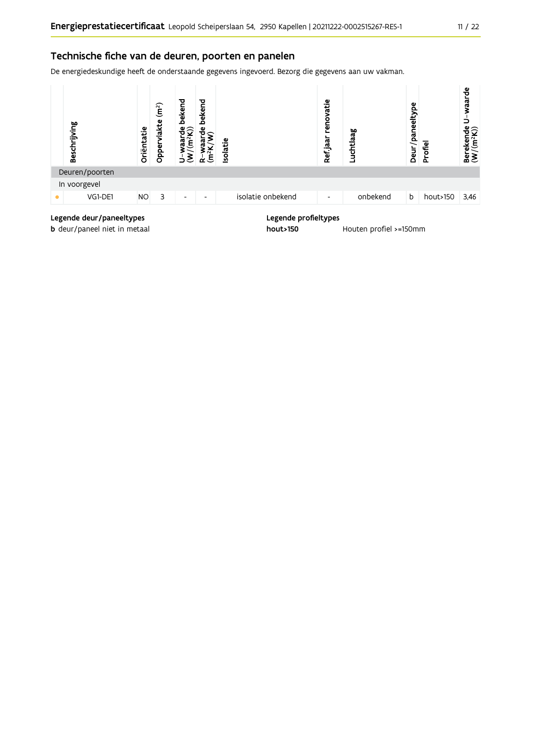### Technische fiche van de deuren, poorten en panelen

De energiedeskundige heeft de onderstaande gegevens ingevoerd. Bezorg die gegevens aan uw vakman.



# Legende deur/paneeltypes

b deur/paneel niet in metaal

#### Legende profieltypes

hout>150 Houten profiel >=150mm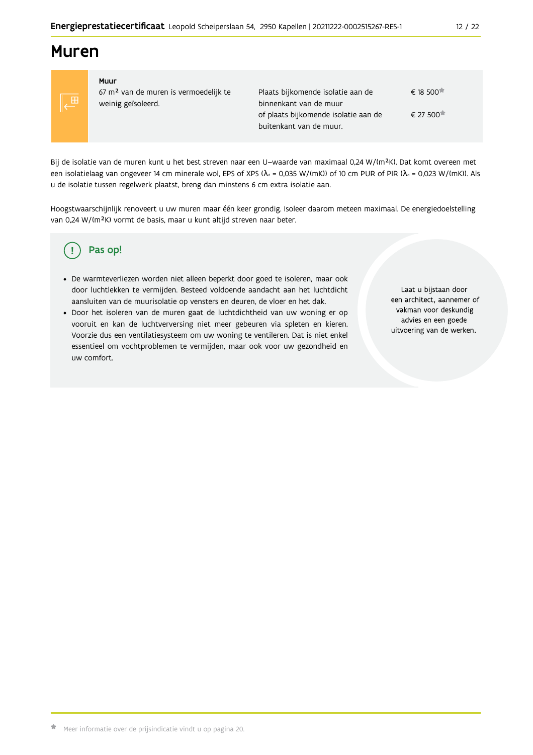# **Muren**



#### Muur 67 m<sup>2</sup> van de muren is vermoedelijk te weinig geïsoleerd.

Plaats bijkomende isolatie aan de € 18.500<sup> $\pm$ </sup> binnenkant van de muur € 27 500 of plaats bijkomende isolatie aan de buitenkant van de muur.

Bij de isolatie van de muren kunt u het best streven naar een U-waarde van maximaal 0,24 W/(m<sup>2</sup>K). Dat komt overeen met een isolatielaag van ongeveer 14 cm minerale wol, EPS of XPS ( $\lambda_a$  = 0,035 W/(mK)) of 10 cm PUR of PIR ( $\lambda_a$  = 0,023 W/(mK)). Als u de isolatie tussen regelwerk plaatst, breng dan minstens 6 cm extra isolatie aan.

Hoogstwaarschijnlijk renoveert u uw muren maar één keer grondig. Isoleer daarom meteen maximaal. De energiedoelstelling van 0,24 W/(m<sup>2</sup>K) vormt de basis, maar u kunt altijd streven naar beter.

#### Pas op! Ţ

- · De warmteverliezen worden niet alleen beperkt door goed te isoleren, maar ook door luchtlekken te vermijden. Besteed voldoende aandacht aan het luchtdicht aansluiten van de muurisolatie op vensters en deuren, de vloer en het dak.
- · Door het isoleren van de muren gaat de luchtdichtheid van uw woning er op vooruit en kan de luchtverversing niet meer gebeuren via spleten en kieren. Voorzie dus een ventilatiesysteem om uw woning te ventileren. Dat is niet enkel essentieel om vochtproblemen te vermijden, maar ook voor uw gezondheid en uw comfort.

Laat u bijstaan door een architect, aannemer of vakman voor deskundig advies en een goede uitvoering van de werken.

 $12/22$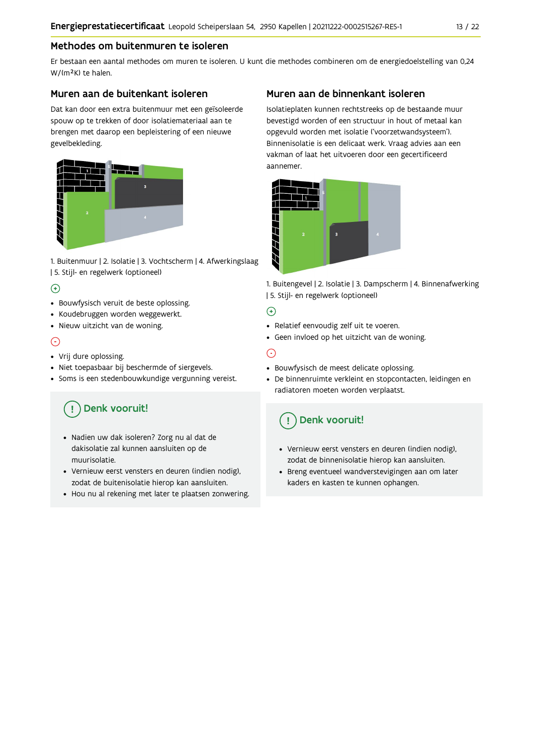### Methodes om buitenmuren te isoleren

Er bestaan een aantal methodes om muren te isoleren. U kunt die methodes combineren om de energiedoelstelling van 0,24 W/(m<sup>2</sup>K) te halen.

#### Muren aan de buitenkant isoleren

Dat kan door een extra buitenmuur met een geïsoleerde spouw op te trekken of door isolatiemateriaal aan te brengen met daarop een bepleistering of een nieuwe gevelbekleding.



1. Buitenmuur | 2. Isolatie | 3. Vochtscherm | 4. Afwerkingslaag | 5. Stijl- en regelwerk (optioneel)

### $\bigoplus$

- Bouwfysisch veruit de beste oplossing.
- Koudebruggen worden weggewerkt.
- · Nieuw uitzicht van de woning.

### $\odot$

#### • Vrij dure oplossing.

- · Niet toepasbaar bij beschermde of siergevels.
- Soms is een stedenbouwkundige vergunning vereist.

# Denk vooruit!

- · Nadien uw dak isoleren? Zorg nu al dat de dakisolatie zal kunnen aansluiten op de muurisolatie.
- · Vernieuw eerst vensters en deuren (indien nodig), zodat de buitenisolatie hierop kan aansluiten.
- Hou nu al rekening met later te plaatsen zonwering.

### Muren aan de binnenkant isoleren

Isolatieplaten kunnen rechtstreeks op de bestaande muur bevestigd worden of een structuur in hout of metaal kan opgevuld worden met isolatie ('voorzetwandsysteem'). Binnenisolatie is een delicaat werk. Vraag advies aan een vakman of laat het uitvoeren door een gecertificeerd aannemer



1. Buitengevel | 2. Isolatie | 3. Dampscherm | 4. Binnenafwerking | 5. Stijl- en regelwerk (optioneel)

### $\bigoplus$

- Relatief eenvoudig zelf uit te voeren.
- Geen invloed op het uitzicht van de woning.

## ⊝

- Bouwfysisch de meest delicate oplossing.
- · De binnenruimte verkleint en stopcontacten, leidingen en radiatoren moeten worden verplaatst.

# Denk vooruit!

- Vernieuw eerst vensters en deuren (indien nodig), zodat de binnenisolatie hierop kan aansluiten.
- · Breng eventueel wandverstevigingen aan om later kaders en kasten te kunnen ophangen.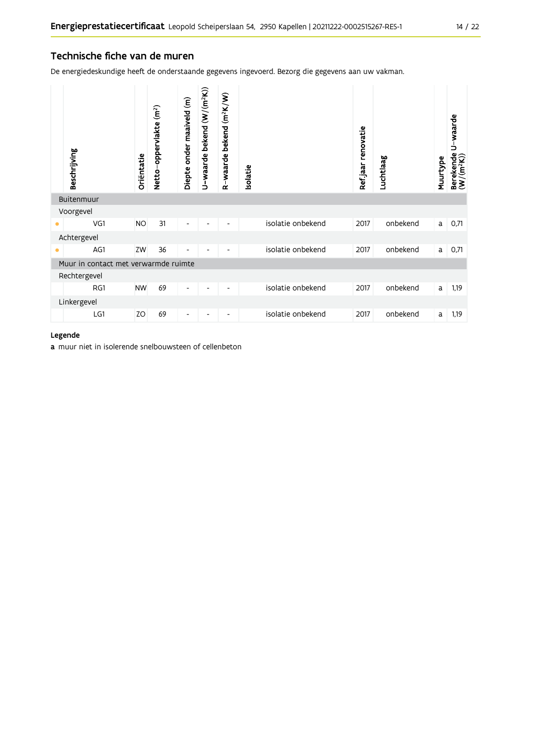### Technische fiche van de muren

De energiedeskundige heeft de onderstaande gegevens ingevoerd. Bezorg die gegevens aan uw vakman.

|           | Beschrijving                         | Oriëntatie | Netto-oppervlakte (m <sup>2</sup> ) | Diepte onder maaiveld (m) | U-waarde bekend (W/(m <sup>2</sup> K)) | R-waarde bekend (m <sup>2</sup> K/W) | Isolatie |                   | Refjaar renovatie | Luchtlaag | Muurtype | U-waarde<br>Berekende l<br>(W/(m <sup>2</sup> K)) |
|-----------|--------------------------------------|------------|-------------------------------------|---------------------------|----------------------------------------|--------------------------------------|----------|-------------------|-------------------|-----------|----------|---------------------------------------------------|
|           | Buitenmuur                           |            |                                     |                           |                                        |                                      |          |                   |                   |           |          |                                                   |
|           | Voorgevel                            |            |                                     |                           |                                        |                                      |          |                   |                   |           |          |                                                   |
| ٠         | VG1                                  | <b>NO</b>  | 31                                  | $\overline{\phantom{a}}$  |                                        |                                      |          | isolatie onbekend | 2017              | onbekend  | a        | 0,71                                              |
|           | Achtergevel                          |            |                                     |                           |                                        |                                      |          |                   |                   |           |          |                                                   |
| $\bullet$ | AG1                                  | ZW         | 36                                  | $\overline{\phantom{a}}$  |                                        |                                      |          | isolatie onbekend | 2017              | onbekend  | a        | 0,71                                              |
|           | Muur in contact met verwarmde ruimte |            |                                     |                           |                                        |                                      |          |                   |                   |           |          |                                                   |
|           | Rechtergevel                         |            |                                     |                           |                                        |                                      |          |                   |                   |           |          |                                                   |
|           | RG1                                  | <b>NW</b>  | 69                                  | $\overline{\phantom{a}}$  | $\overline{\phantom{a}}$               | -                                    |          | isolatie onbekend | 2017              | onbekend  | a        | 1,19                                              |
|           | Linkergevel                          |            |                                     |                           |                                        |                                      |          |                   |                   |           |          |                                                   |
|           | LG1                                  | ZO         | 69                                  | $\overline{\phantom{a}}$  |                                        | -                                    |          | isolatie onbekend | 2017              | onbekend  | a        | 1,19                                              |

#### Legende

a muur niet in isolerende snelbouwsteen of cellenbeton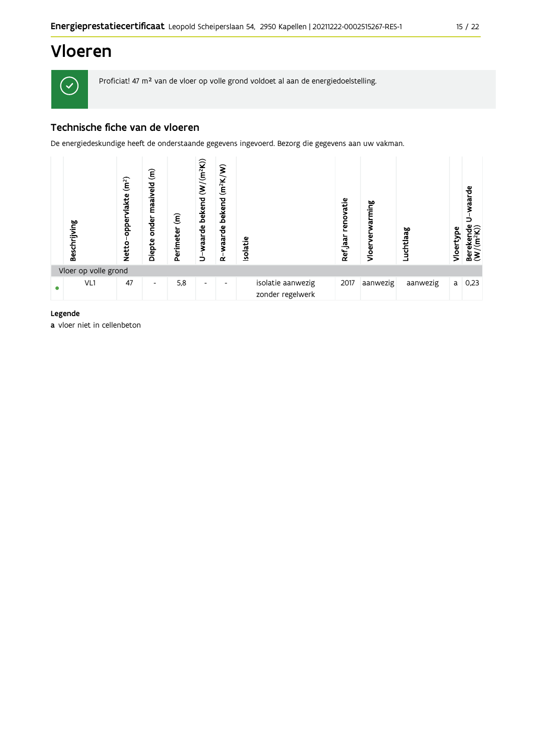

Proficiat! 47 m<sup>2</sup> van de vloer op volle grond voldoet al aan de energiedoelstelling.

# Technische fiche van de vloeren

De energiedeskundige heeft de onderstaande gegevens ingevoerd. Bezorg die gegevens aan uw vakman.

| Beschrijving         | (m <sup>2</sup> )<br>oppervlakte<br><b>Netto</b> | $\widehat{\epsilon}$<br>maaiveld<br>onder<br>Diepte | $\widehat{\bm{\epsilon}}$<br>Perimeter | $(W/(m^2K))$<br>bekend<br>U-waarde | $(m^2K/W)$<br>bekend<br>waarde<br>$\alpha$ | <b>Isolatie</b> |                                       | renovatie<br>Ref.jaar | arming<br>Φ<br>Vloer | Luchtlaag | Vloertype | waarde<br>Berekende<br>$(W/(m^2K))$ |
|----------------------|--------------------------------------------------|-----------------------------------------------------|----------------------------------------|------------------------------------|--------------------------------------------|-----------------|---------------------------------------|-----------------------|----------------------|-----------|-----------|-------------------------------------|
| Vloer op volle grond |                                                  |                                                     |                                        |                                    |                                            |                 |                                       |                       |                      |           |           |                                     |
| VL1                  | 47                                               | ٠                                                   | 5,8                                    | $\overline{\phantom{0}}$           | $\overline{\phantom{0}}$                   |                 | isolatie aanwezig<br>zonder regelwerk | 2017                  | aanwezig             | aanwezig  | a         | 0,23                                |

Legende

a vloer niet in cellenbeton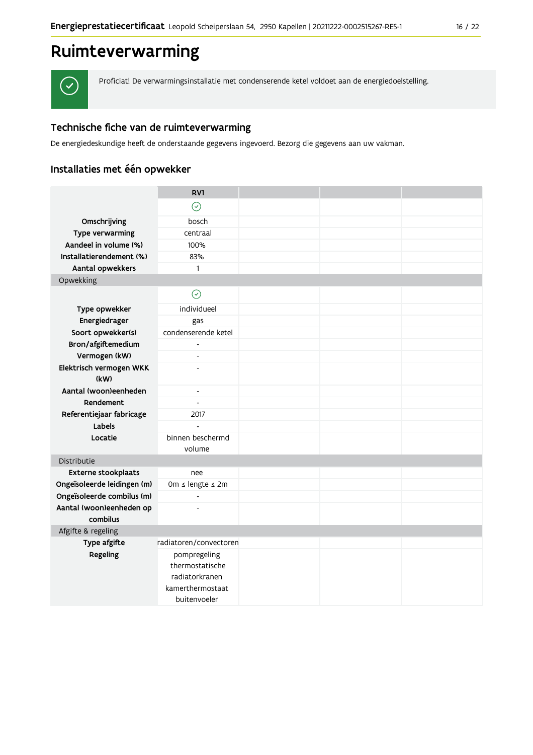# Ruimteverwarming



Proficiat! De verwarmingsinstallatie met condenserende ketel voldoet aan de energiedoelstelling.

## Technische fiche van de ruimteverwarming

De energiedeskundige heeft de onderstaande gegevens ingevoerd. Bezorg die gegevens aan uw vakman.

# Installaties met één opwekker

|                                    | RV1                                                  |  |  |
|------------------------------------|------------------------------------------------------|--|--|
|                                    | $\odot$                                              |  |  |
| Omschrijving                       | bosch                                                |  |  |
| Type verwarming                    | centraal                                             |  |  |
| Aandeel in volume (%)              | 100%                                                 |  |  |
| Installatierendement (%)           | 83%                                                  |  |  |
| Aantal opwekkers                   | 1                                                    |  |  |
| Opwekking                          |                                                      |  |  |
|                                    | $\odot$                                              |  |  |
| Type opwekker                      | individueel                                          |  |  |
| Energiedrager                      | gas                                                  |  |  |
| Soort opwekker(s)                  | condenserende ketel                                  |  |  |
| Bron/afgiftemedium                 | $\blacksquare$                                       |  |  |
| Vermogen (kW)                      |                                                      |  |  |
| Elektrisch vermogen WKK            |                                                      |  |  |
| (kW)                               |                                                      |  |  |
| Aantal (woon)eenheden<br>Rendement | $\overline{\phantom{a}}$<br>$\overline{\phantom{a}}$ |  |  |
|                                    |                                                      |  |  |
| Referentiejaar fabricage<br>Labels | 2017<br>$\overline{a}$                               |  |  |
| Locatie                            | binnen beschermd                                     |  |  |
|                                    | volume                                               |  |  |
| Distributie                        |                                                      |  |  |
| <b>Externe stookplaats</b>         | nee                                                  |  |  |
| Ongeïsoleerde leidingen (m)        | 0m ≤ lengte ≤ 2m                                     |  |  |
| Ongeïsoleerde combilus (m)         | $\blacksquare$                                       |  |  |
| Aantal (woon)eenheden op           |                                                      |  |  |
| combilus                           |                                                      |  |  |
| Afgifte & regeling                 |                                                      |  |  |
| Type afgifte                       | radiatoren/convectoren                               |  |  |
| Regeling                           | pompregeling                                         |  |  |
|                                    | thermostatische                                      |  |  |
|                                    | radiatorkranen<br>kamerthermostaat                   |  |  |
|                                    | buitenvoeler                                         |  |  |
|                                    |                                                      |  |  |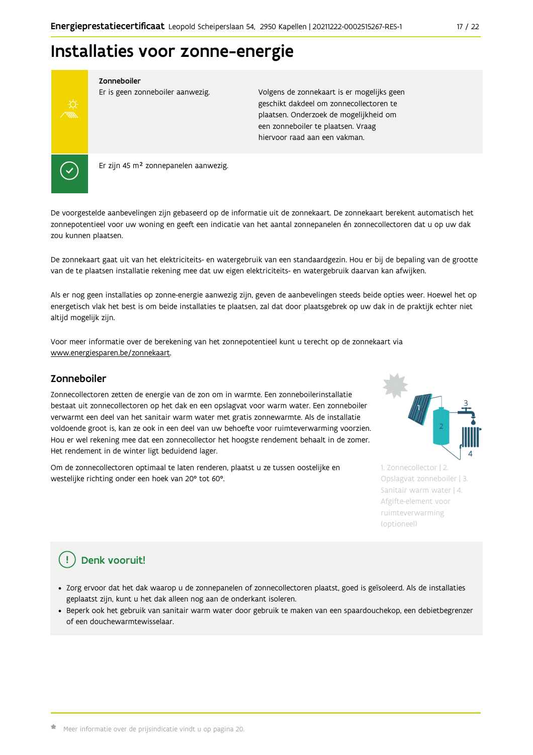# Installaties voor zonne-energie



Zonneboiler

Er is geen zonneboiler aanwezig.

Volgens de zonnekaart is er mogelijks geen geschikt dakdeel om zonnecollectoren te plaatsen. Onderzoek de mogelijkheid om een zonneboiler te plaatsen. Vraag hiervoor raad aan een vakman.

Er zijn 45 m<sup>2</sup> zonnepanelen aanwezig.

De voorgestelde aanbevelingen zijn gebaseerd op de informatie uit de zonnekaart. De zonnekaart berekent automatisch het zonnepotentieel voor uw woning en geeft een indicatie van het aantal zonnepanelen én zonnecollectoren dat u op uw dak zou kunnen plaatsen.

De zonnekaart gaat uit van het elektriciteits- en watergebruik van een standaardgezin. Hou er bij de bepaling van de grootte van de te plaatsen installatie rekening mee dat uw eigen elektriciteits- en watergebruik daarvan kan afwijken.

Als er nog geen installaties op zonne-energie aanwezig zijn, geven de aanbevelingen steeds beide opties weer. Hoewel het op energetisch vlak het best is om beide installaties te plaatsen, zal dat door plaatsgebrek op uw dak in de praktijk echter niet altijd mogelijk zijn.

Voor meer informatie over de berekening van het zonnepotentieel kunt u terecht op de zonnekaart via www.energiesparen.be/zonnekaart.

### Zonneboiler

Zonnecollectoren zetten de energie van de zon om in warmte. Een zonneboilerinstallatie bestaat uit zonnecollectoren op het dak en een opslagvat voor warm water. Een zonneboiler verwarmt een deel van het sanitair warm water met gratis zonnewarmte. Als de installatie voldoende groot is, kan ze ook in een deel van uw behoefte voor ruimteverwarming voorzien. Hou er wel rekening mee dat een zonnecollector het hoogste rendement behaalt in de zomer. Het rendement in de winter ligt beduidend lager.

Om de zonnecollectoren optimaal te laten renderen, plaatst u ze tussen oostelijke en westelijke richting onder een hoek van 20° tot 60°.



1. Zonnecollector | 2. Opslagvat zonneboiler | 3. Sanitair warm water | 4. Afgifte-element voor ruimteverwarming (optioneel)

# Denk vooruit!

- · Zorg ervoor dat het dak waarop u de zonnepanelen of zonnecollectoren plaatst, goed is geïsoleerd. Als de installaties geplaatst zijn, kunt u het dak alleen nog aan de onderkant isoleren.
- · Beperk ook het gebruik van sanitair warm water door gebruik te maken van een spaardouchekop, een debietbegrenzer of een douchewarmtewisselaar.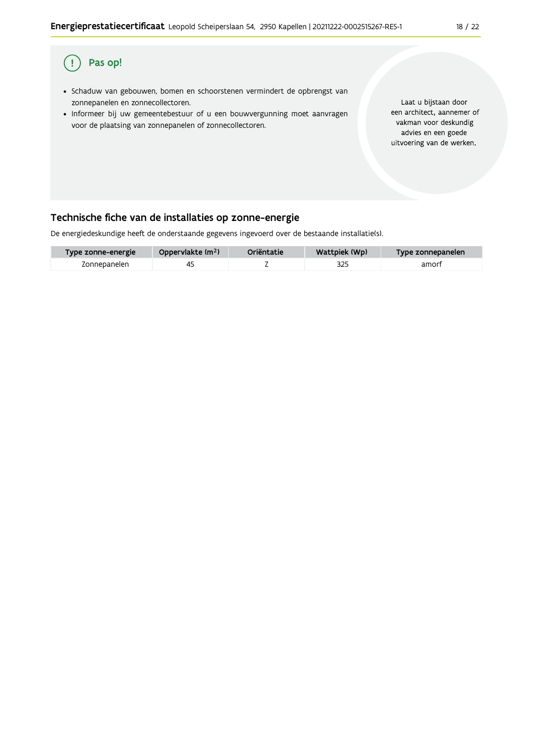

## Pas op! (!

- · Schaduw van gebouwen, bomen en schoorstenen vermindert de opbrengst van zonnepanelen en zonnecollectoren.
- · Informeer bij uw gemeentebestuur of u een bouwvergunning moet aanvragen voor de plaatsing van zonnepanelen of zonnecollectoren.

Laat u bijstaan door een architect, aannemer of vakman voor deskundig advies en een goede uitvoering van de werken.

# Technische fiche van de installaties op zonne-energie

De energiedeskundige heeft de onderstaande gegevens ingevoerd over de bestaande installatie(s).

| Type zonne-energie | Oppervlakte (m <sup>2</sup> ) | Oriëntatie | Wattpiek (Wp) | Type zonnepanelen |
|--------------------|-------------------------------|------------|---------------|-------------------|
| Zonnepanelen       |                               |            | 325           | amort             |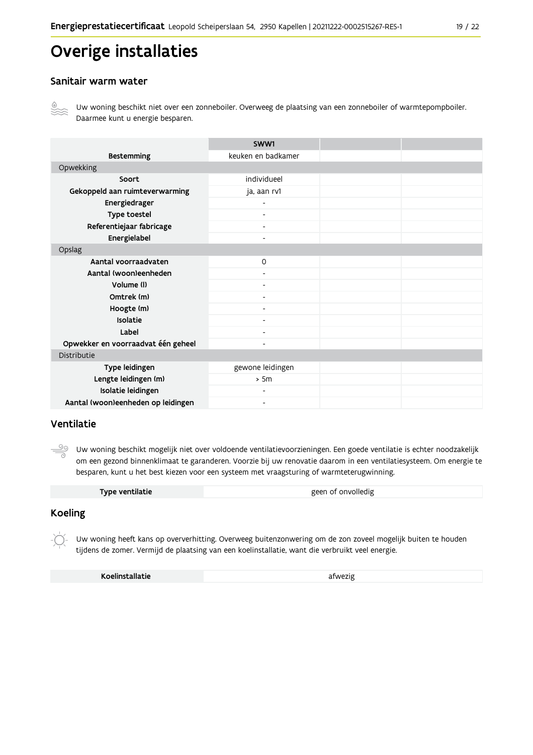# Overige installaties

### Sanitair warm water



Uw woning beschikt niet over een zonneboiler. Overweeg de plaatsing van een zonneboiler of warmtepompboiler. Daarmee kunt u energie besparen.

|                                    | SWW1                     |  |
|------------------------------------|--------------------------|--|
| <b>Bestemming</b>                  | keuken en badkamer       |  |
| Opwekking                          |                          |  |
| Soort                              | individueel              |  |
| Gekoppeld aan ruimteverwarming     | ja, aan rv1              |  |
| Energiedrager                      | $\overline{\phantom{0}}$ |  |
| Type toestel                       | $\overline{\phantom{a}}$ |  |
| Referentiejaar fabricage           | $\overline{\phantom{a}}$ |  |
| Energielabel                       | $\blacksquare$           |  |
| Opslag                             |                          |  |
| Aantal voorraadvaten               | $\mathsf{O}$             |  |
| Aantal (woon)eenheden              |                          |  |
| Volume (I)                         | $\blacksquare$           |  |
| Omtrek (m)                         | $\overline{\phantom{0}}$ |  |
| Hoogte (m)                         |                          |  |
| Isolatie                           | $\overline{\phantom{a}}$ |  |
| Label                              | $\overline{\phantom{a}}$ |  |
| Opwekker en voorraadvat één geheel | $\overline{\phantom{0}}$ |  |
| Distributie                        |                          |  |
| Type leidingen                     | gewone leidingen         |  |
| Lengte leidingen (m)               | > 5m                     |  |
| Isolatie leidingen                 | $\overline{\phantom{0}}$ |  |
| Aantal (woon)eenheden op leidingen | $\overline{\phantom{0}}$ |  |

### Ventilatie

<u>99</u> Uw woning beschikt mogelijk niet over voldoende ventilatievoorzieningen. Een goede ventilatie is echter noodzakelijk om een gezond binnenklimaat te garanderen. Voorzie bij uw renovatie daarom in een ventilatiesysteem. Om energie te besparen, kunt u het best kiezen voor een systeem met vraagsturing of warmteterugwinning.

| geen of onvolledig<br>Type ventilatie |
|---------------------------------------|
|---------------------------------------|

### **Koeling**

Uw woning heeft kans op oververhitting. Overweeg buitenzonwering om de zon zoveel mogelijk buiten te houden tijdens de zomer. Vermijd de plaatsing van een koelinstallatie, want die verbruikt veel energie.

Koelinstallatie

afwezig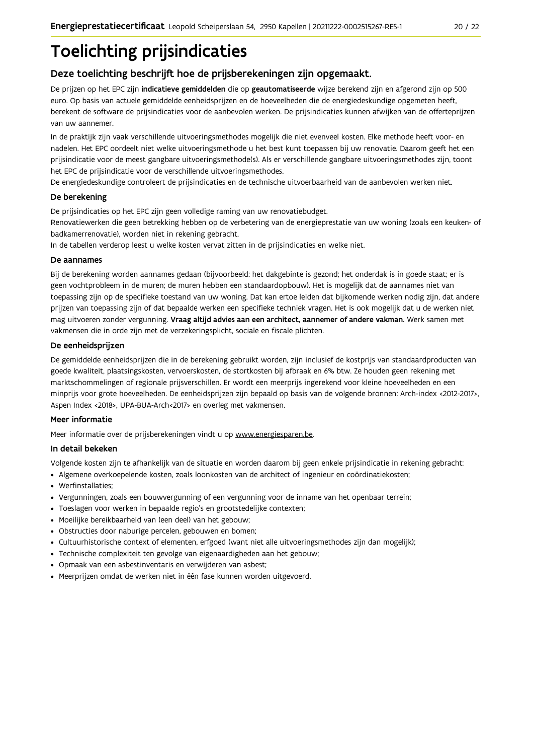# **Toelichting prijsindicaties**

# Deze toelichting beschrijft hoe de prijsberekeningen zijn opgemaakt.

De prijzen op het EPC zijn indicatieve gemiddelden die op geautomatiseerde wijze berekend zijn en afgerond zijn op 500 euro. Op basis van actuele gemiddelde eenheidsprijzen en de hoeveelheden die de energiedeskundige opgemeten heeft, berekent de software de prijsindicaties voor de aanbevolen werken. De prijsindicaties kunnen afwijken van de offerteprijzen van uw aannemer.

In de praktijk zijn vaak verschillende uitvoeringsmethodes mogelijk die niet evenveel kosten. Elke methode heeft voor- en nadelen. Het EPC oordeelt niet welke uitvoeringsmethode u het best kunt toepassen bij uw renovatie. Daarom geeft het een prijsindicatie voor de meest gangbare uitvoeringsmethode(s). Als er verschillende gangbare uitvoeringsmethodes zijn, toont het EPC de prijsindicatie voor de verschillende uitvoeringsmethodes.

De energiedeskundige controleert de prijsindicaties en de technische uitvoerbaarheid van de aanbevolen werken niet.

#### De berekening

De prijsindicaties op het EPC zijn geen volledige raming van uw renovatiebudget.

Renovatiewerken die geen betrekking hebben op de verbetering van de energieprestatie van uw woning (zoals een keuken- of badkamerrenovatie), worden niet in rekening gebracht.

In de tabellen verderop leest u welke kosten vervat zitten in de prijsindicaties en welke niet.

#### De aannames

Bij de berekening worden aannames gedaan (bijvoorbeeld: het dakgebinte is gezond; het onderdak is in goede staat; er is geen vochtprobleem in de muren; de muren hebben een standaardopbouw). Het is mogelijk dat de aannames niet van toepassing zijn op de specifieke toestand van uw woning. Dat kan ertoe leiden dat bijkomende werken nodig zijn, dat andere prijzen van toepassing zijn of dat bepaalde werken een specifieke techniek vragen. Het is ook mogelijk dat u de werken niet mag uitvoeren zonder vergunning. Vraag altijd advies aan een architect, aannemer of andere vakman. Werk samen met vakmensen die in orde zijn met de verzekeringsplicht, sociale en fiscale plichten.

#### De eenheidsprijzen

De gemiddelde eenheidspriizen die in de berekening gebruikt worden, zijn inclusief de kostpriis van standaardproducten van goede kwaliteit, plaatsingskosten, vervoerskosten, de stortkosten bij afbraak en 6% btw. Ze houden geen rekening met marktschommelingen of regionale prijsverschillen. Er wordt een meerprijs ingerekend voor kleine hoeveelheden en een minprijs voor grote hoeveelheden. De eenheidsprijzen zijn bepaald op basis van de volgende bronnen: Arch-index <2012-2017>, Aspen Index <2018>, UPA-BUA-Arch<2017> en overleg met vakmensen.

#### Meer informatie

Meer informatie over de prijsberekeningen vindt u op www.energiesparen.be.

#### In detail bekeken

Volgende kosten zijn te afhankelijk van de situatie en worden daarom bij geen enkele prijsindicatie in rekening gebracht:

- Algemene overkoepelende kosten, zoals loonkosten van de architect of ingenieur en coördinatiekosten;
- Werfinstallaties:
- · Vergunningen, zoals een bouwvergunning of een vergunning voor de inname van het openbaar terrein;
- Toeslagen voor werken in bepaalde regio's en grootstedelijke contexten:
- · Moeilijke bereikbaarheid van (een deel) van het gebouw;
- · Obstructies door naburige percelen, gebouwen en bomen;
- · Cultuurhistorische context of elementen, erfgoed (want niet alle uitvoeringsmethodes zijn dan mogelijk);
- · Technische complexiteit ten gevolge van eigenaardigheden aan het gebouw;
- · Opmaak van een asbestinventaris en verwijderen van asbest;
- · Meerprijzen omdat de werken niet in één fase kunnen worden uitgevoerd.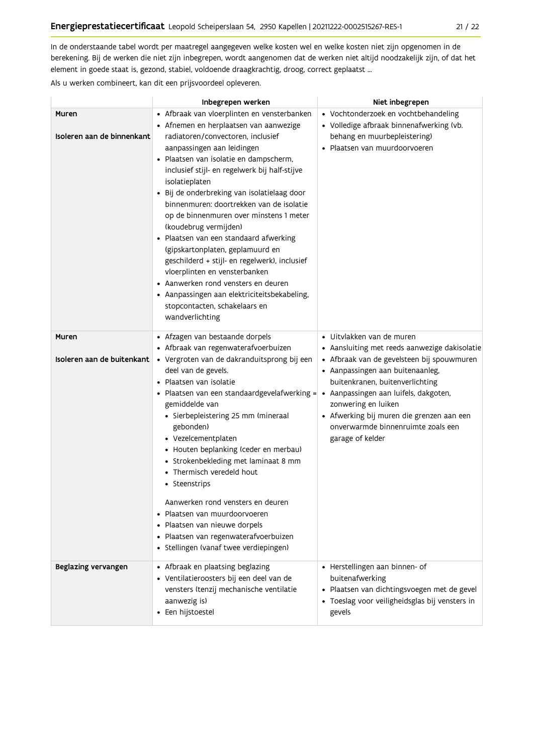In de onderstaande tabel wordt per maatregel aangegeven welke kosten wel en welke kosten niet zijn opgenomen in de berekening. Bij de werken die niet zijn inbegrepen, wordt aangenomen dat de werken niet altijd noodzakelijk zijn, of dat het element in goede staat is, gezond, stabiel, voldoende draagkrachtig, droog, correct geplaatst ...

Als u werken combineert, kan dit een prijsvoordeel opleveren.

|                                     | Inbegrepen werken                                                                                                                                                                                                                                                                                                                                                                                                                                                                                                                                                                                                                                                                                                                               | Niet inbegrepen                                                                                                                                                                                                                                                                                                                                                                  |
|-------------------------------------|-------------------------------------------------------------------------------------------------------------------------------------------------------------------------------------------------------------------------------------------------------------------------------------------------------------------------------------------------------------------------------------------------------------------------------------------------------------------------------------------------------------------------------------------------------------------------------------------------------------------------------------------------------------------------------------------------------------------------------------------------|----------------------------------------------------------------------------------------------------------------------------------------------------------------------------------------------------------------------------------------------------------------------------------------------------------------------------------------------------------------------------------|
| Muren<br>Isoleren aan de binnenkant | • Afbraak van vloerplinten en vensterbanken<br>• Afnemen en herplaatsen van aanwezige<br>radiatoren/convectoren, inclusief<br>aanpassingen aan leidingen<br>· Plaatsen van isolatie en dampscherm,<br>inclusief stijl- en regelwerk bij half-stijve<br>isolatieplaten<br>· Bij de onderbreking van isolatielaag door<br>binnenmuren: doortrekken van de isolatie<br>op de binnenmuren over minstens 1 meter<br>(koudebrug vermijden)<br>· Plaatsen van een standaard afwerking<br>(gipskartonplaten, geplamuurd en<br>geschilderd + stijl- en regelwerk), inclusief<br>vloerplinten en vensterbanken<br>• Aanwerken rond vensters en deuren<br>• Aanpassingen aan elektriciteitsbekabeling,<br>stopcontacten, schakelaars en<br>wandverlichting | • Vochtonderzoek en vochtbehandeling<br>• Volledige afbraak binnenafwerking (vb.<br>behang en muurbepleistering)<br>· Plaatsen van muurdoorvoeren                                                                                                                                                                                                                                |
| Muren<br>Isoleren aan de buitenkant | • Afzagen van bestaande dorpels<br>• Afbraak van regenwaterafvoerbuizen<br>· Vergroten van de dakranduitsprong bij een<br>deel van de gevels.<br>• Plaatsen van isolatie<br>• Plaatsen van een standaardgevelafwerking =<br>gemiddelde van<br>· Sierbepleistering 25 mm (mineraal<br>gebonden)<br>• Vezelcementplaten<br>• Houten beplanking (ceder en merbau)<br>• Strokenbekleding met laminaat 8 mm<br>• Thermisch veredeld hout<br>• Steenstrips<br>Aanwerken rond vensters en deuren<br>Plaatsen van muurdoorvoeren<br>· Plaatsen van nieuwe dorpels<br>· Plaatsen van regenwaterafvoerbuizen<br>· Stellingen (vanaf twee verdiepingen)                                                                                                    | $\bullet\,$ Uitvlakken van de muren<br>• Aansluiting met reeds aanwezige dakisolatie<br>• Afbraak van de gevelsteen bij spouwmuren<br>• Aanpassingen aan buitenaanleg,<br>buitenkranen, buitenverlichting<br>· Aanpassingen aan luifels, dakgoten,<br>zonwering en luiken<br>• Afwerking bij muren die grenzen aan een<br>onverwarmde binnenruimte zoals een<br>garage of kelder |
| Beglazing vervangen                 | • Afbraak en plaatsing beglazing<br>· Ventilatieroosters bij een deel van de<br>vensters (tenzij mechanische ventilatie<br>aanwezig is)<br>• Een hijstoestel                                                                                                                                                                                                                                                                                                                                                                                                                                                                                                                                                                                    | • Herstellingen aan binnen- of<br>buitenafwerking<br>· Plaatsen van dichtingsvoegen met de gevel<br>· Toeslag voor veiligheidsglas bij vensters in<br>gevels                                                                                                                                                                                                                     |